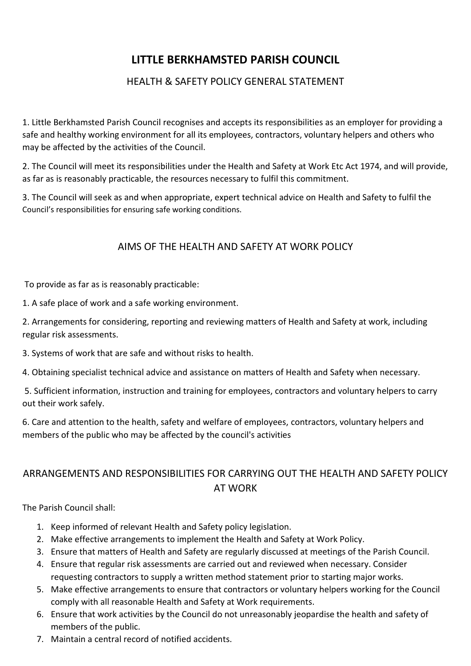## **LITTLE BERKHAMSTED PARISH COUNCIL**

## HEALTH & SAFETY POLICY GENERAL STATEMENT

1. Little Berkhamsted Parish Council recognises and accepts its responsibilities as an employer for providing a safe and healthy working environment for all its employees, contractors, voluntary helpers and others who may be affected by the activities of the Council.

2. The Council will meet its responsibilities under the Health and Safety at Work Etc Act 1974, and will provide, as far as is reasonably practicable, the resources necessary to fulfil this commitment.

3. The Council will seek as and when appropriate, expert technical advice on Health and Safety to fulfil the Council's responsibilities for ensuring safe working conditions.

## AIMS OF THE HEALTH AND SAFETY AT WORK POLICY

To provide as far as is reasonably practicable:

1. A safe place of work and a safe working environment.

2. Arrangements for considering, reporting and reviewing matters of Health and Safety at work, including regular risk assessments.

3. Systems of work that are safe and without risks to health.

4. Obtaining specialist technical advice and assistance on matters of Health and Safety when necessary.

5. Sufficient information, instruction and training for employees, contractors and voluntary helpers to carry out their work safely.

6. Care and attention to the health, safety and welfare of employees, contractors, voluntary helpers and members of the public who may be affected by the council's activities

## ARRANGEMENTS AND RESPONSIBILITIES FOR CARRYING OUT THE HEALTH AND SAFETY POLICY AT WORK

The Parish Council shall:

- 1. Keep informed of relevant Health and Safety policy legislation.
- 2. Make effective arrangements to implement the Health and Safety at Work Policy.
- 3. Ensure that matters of Health and Safety are regularly discussed at meetings of the Parish Council.
- 4. Ensure that regular risk assessments are carried out and reviewed when necessary. Consider requesting contractors to supply a written method statement prior to starting major works.
- 5. Make effective arrangements to ensure that contractors or voluntary helpers working for the Council comply with all reasonable Health and Safety at Work requirements.
- 6. Ensure that work activities by the Council do not unreasonably jeopardise the health and safety of members of the public.
- 7. Maintain a central record of notified accidents.